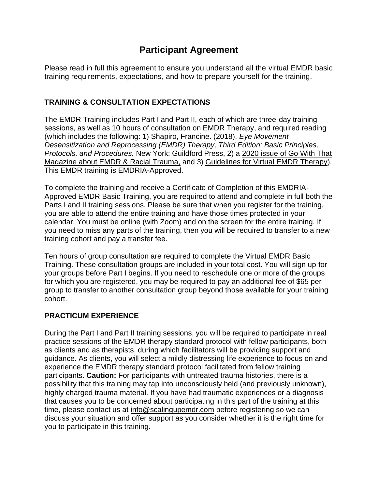# **Participant Agreement**

Please read in full this agreement to ensure you understand all the virtual EMDR basic training requirements, expectations, and how to prepare yourself for the training.

# **TRAINING & CONSULTATION EXPECTATIONS**

The EMDR Training includes Part I and Part II, each of which are three-day training sessions, as well as 10 hours of consultation on EMDR Therapy, and required reading (which includes the following: 1) Shapiro, Francine. (2018). *Eye Movement Desensitization and Reprocessing (EMDR) Therapy, Third Edition: Basic Principles, Protocols, and Procedures.* New York: Guildford Press, 2) a [2020 issue of Go With That](https://mk0emdrias99osg9utnb.kinstacdn.com/wp-content/uploads/2021/05/GWT.2020.Vol_.25.Issue_.3.RacialTrauma.ALL_.pdf)  [Magazine about EMDR & Racial Trauma,](https://mk0emdrias99osg9utnb.kinstacdn.com/wp-content/uploads/2021/05/GWT.2020.Vol_.25.Issue_.3.RacialTrauma.ALL_.pdf) and 3) [Guidelines for Virtual EMDR Therapy\)](https://mk0emdrias99osg9utnb.kinstacdn.com/wp-content/uploads/2020/04/virtual_tg_report_for_member.pdf). This EMDR training is EMDRIA-Approved.

To complete the training and receive a Certificate of Completion of this EMDRIA-Approved EMDR Basic Training, you are required to attend and complete in full both the Parts I and II training sessions. Please be sure that when you register for the training, you are able to attend the entire training and have those times protected in your calendar. You must be online (with Zoom) and on the screen for the entire training. If you need to miss any parts of the training, then you will be required to transfer to a new training cohort and pay a transfer fee.

Ten hours of group consultation are required to complete the Virtual EMDR Basic Training. These consultation groups are included in your total cost. You will sign up for your groups before Part I begins. If you need to reschedule one or more of the groups for which you are registered, you may be required to pay an additional fee of \$65 per group to transfer to another consultation group beyond those available for your training cohort.

# **PRACTICUM EXPERIENCE**

During the Part I and Part II training sessions, you will be required to participate in real practice sessions of the EMDR therapy standard protocol with fellow participants, both as clients and as therapists, during which facilitators will be providing support and guidance. As clients, you will select a mildly distressing life experience to focus on and experience the EMDR therapy standard protocol facilitated from fellow training participants. **Caution:** For participants with untreated trauma histories, there is a possibility that this training may tap into unconsciously held (and previously unknown), highly charged trauma material. If you have had traumatic experiences or a diagnosis that causes you to be concerned about participating in this part of the training at this time, please contact us at [info@scalingupemdr.com](mailto:info@scalingupemdr.com) before registering so we can discuss your situation and offer support as you consider whether it is the right time for you to participate in this training.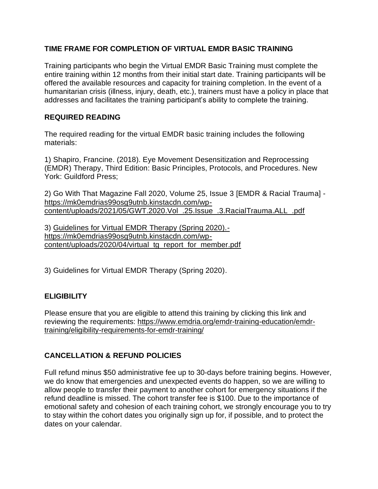#### **TIME FRAME FOR COMPLETION OF VIRTUAL EMDR BASIC TRAINING**

Training participants who begin the Virtual EMDR Basic Training must complete the entire training within 12 months from their initial start date. Training participants will be offered the available resources and capacity for training completion. In the event of a humanitarian crisis (illness, injury, death, etc.), trainers must have a policy in place that addresses and facilitates the training participant's ability to complete the training.

#### **REQUIRED READING**

The required reading for the virtual EMDR basic training includes the following materials:

1) Shapiro, Francine. (2018). Eye Movement Desensitization and Reprocessing (EMDR) Therapy, Third Edition: Basic Principles, Protocols, and Procedures. New York: Guildford Press;

2) Go With That Magazine Fall 2020, Volume 25, Issue 3 [EMDR & Racial Trauma] [https://mk0emdrias99osg9utnb.kinstacdn.com/wp](https://mk0emdrias99osg9utnb.kinstacdn.com/wp-content/uploads/2021/05/GWT.2020.Vol_.25.Issue_.3.RacialTrauma.ALL_.pdf)[content/uploads/2021/05/GWT.2020.Vol\\_.25.Issue\\_.3.RacialTrauma.ALL\\_.pdf](https://mk0emdrias99osg9utnb.kinstacdn.com/wp-content/uploads/2021/05/GWT.2020.Vol_.25.Issue_.3.RacialTrauma.ALL_.pdf)

3) [Guidelines for Virtual EMDR Therapy \(Spring 2020\).](https://mk0emdrias99osg9utnb.kinstacdn.com/wp-content/uploads/2020/04/virtual_tg_report_for_member.pdf) https://mk0emdrias99osg9utnb.kinstacdn.com/wpcontent/uploads/2020/04/virtual\_tg\_report\_for\_member.pdf

3) Guidelines for Virtual EMDR Therapy (Spring 2020).

# **ELIGIBILITY**

Please ensure that you are eligible to attend this training by clicking this link and reviewing the requirements: [https://www.emdria.org/emdr-training-education/emdr](https://www.emdria.org/emdr-training-education/emdr-training/eligibility-requirements-for-emdr-training/)[training/eligibility-requirements-for-emdr-training/](https://www.emdria.org/emdr-training-education/emdr-training/eligibility-requirements-for-emdr-training/)

# **CANCELLATION & REFUND POLICIES**

Full refund minus \$50 administrative fee up to 30-days before training begins. However, we do know that emergencies and unexpected events do happen, so we are willing to allow people to transfer their payment to another cohort for emergency situations if the refund deadline is missed. The cohort transfer fee is \$100. Due to the importance of emotional safety and cohesion of each training cohort, we strongly encourage you to try to stay within the cohort dates you originally sign up for, if possible, and to protect the dates on your calendar.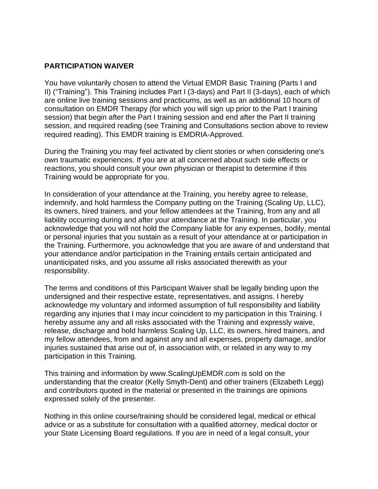#### **PARTICIPATION WAIVER**

You have voluntarily chosen to attend the Virtual EMDR Basic Training (Parts I and II) ("Training"). This Training includes Part I (3-days) and Part II (3-days), each of which are online live training sessions and practicums, as well as an additional 10 hours of consultation on EMDR Therapy (for which you will sign up prior to the Part I training session) that begin after the Part I training session and end after the Part II training session, and required reading (see Training and Consultations section above to review required reading). This EMDR training is EMDRIA-Approved.

During the Training you may feel activated by client stories or when considering one's own traumatic experiences. If you are at all concerned about such side effects or reactions, you should consult your own physician or therapist to determine if this Training would be appropriate for you.

In consideration of your attendance at the Training, you hereby agree to release, indemnify, and hold harmless the Company putting on the Training (Scaling Up, LLC), its owners, hired trainers, and your fellow attendees at the Training, from any and all liability occurring during and after your attendance at the Training. In particular, you acknowledge that you will not hold the Company liable for any expenses, bodily, mental or personal injuries that you sustain as a result of your attendance at or participation in the Training. Furthermore, you acknowledge that you are aware of and understand that your attendance and/or participation in the Training entails certain anticipated and unanticipated risks, and you assume all risks associated therewith as your responsibility.

The terms and conditions of this Participant Waiver shall be legally binding upon the undersigned and their respective estate, representatives, and assigns. I hereby acknowledge my voluntary and informed assumption of full responsibility and liability regarding any injuries that I may incur coincident to my participation in this Training. I hereby assume any and all risks associated with the Training and expressly waive, release, discharge and hold harmless Scaling Up, LLC, its owners, hired trainers, and my fellow attendees, from and against any and all expenses, property damage, and/or injuries sustained that arise out of, in association with, or related in any way to my participation in this Training.

This training and information by www.ScalingUpEMDR.com is sold on the understanding that the creator (Kelly Smyth-Dent) and other trainers (Elizabeth Legg) and contributors quoted in the material or presented in the trainings are opinions expressed solely of the presenter.

Nothing in this online course/training should be considered legal, medical or ethical advice or as a substitute for consultation with a qualified attorney, medical doctor or your State Licensing Board regulations. If you are in need of a legal consult, your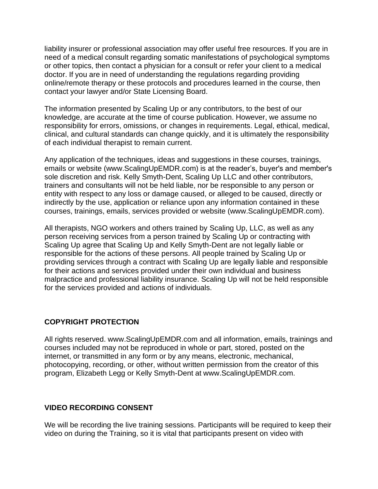liability insurer or professional association may offer useful free resources. If you are in need of a medical consult regarding somatic manifestations of psychological symptoms or other topics, then contact a physician for a consult or refer your client to a medical doctor. If you are in need of understanding the regulations regarding providing online/remote therapy or these protocols and procedures learned in the course, then contact your lawyer and/or State Licensing Board.

The information presented by Scaling Up or any contributors, to the best of our knowledge, are accurate at the time of course publication. However, we assume no responsibility for errors, omissions, or changes in requirements. Legal, ethical, medical, clinical, and cultural standards can change quickly, and it is ultimately the responsibility of each individual therapist to remain current.

Any application of the techniques, ideas and suggestions in these courses, trainings, emails or website (www.ScalingUpEMDR.com) is at the reader's, buyer's and member's sole discretion and risk. Kelly Smyth-Dent, Scaling Up LLC and other contributors, trainers and consultants will not be held liable, nor be responsible to any person or entity with respect to any loss or damage caused, or alleged to be caused, directly or indirectly by the use, application or reliance upon any information contained in these courses, trainings, emails, services provided or website (www.ScalingUpEMDR.com).

All therapists, NGO workers and others trained by Scaling Up, LLC, as well as any person receiving services from a person trained by Scaling Up or contracting with Scaling Up agree that Scaling Up and Kelly Smyth-Dent are not legally liable or responsible for the actions of these persons. All people trained by Scaling Up or providing services through a contract with Scaling Up are legally liable and responsible for their actions and services provided under their own individual and business malpractice and professional liability insurance. Scaling Up will not be held responsible for the services provided and actions of individuals.

# **COPYRIGHT PROTECTION**

All rights reserved. www.ScalingUpEMDR.com and all information, emails, trainings and courses included may not be reproduced in whole or part, stored, posted on the internet, or transmitted in any form or by any means, electronic, mechanical, photocopying, recording, or other, without written permission from the creator of this program, Elizabeth Legg or Kelly Smyth-Dent at www.ScalingUpEMDR.com.

# **VIDEO RECORDING CONSENT**

We will be recording the live training sessions. Participants will be required to keep their video on during the Training, so it is vital that participants present on video with